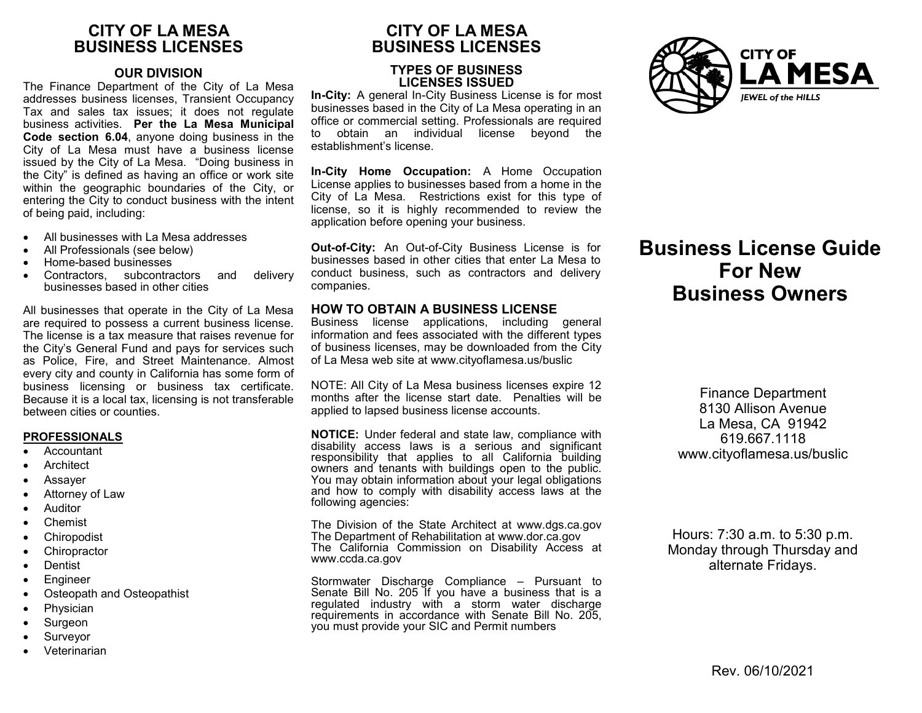# **CITY OF LA MESA BUSINESS LICENSES**

## **OUR DIVISION**

The Finance Department of the City of La Mesa addresses business licenses, Transient Occupancy Tax and sales tax issues; it does not regulate business activities. **Per the La Mesa Municipal Code section 6.04**, anyone doing business in the City of La Mesa must have a business license issued by the City of La Mesa. "Doing business in the City" is defined as having an office or work site within the geographic boundaries of the City, or entering the City to conduct business with the intent of being paid, including:

- All businesses with La Mesa addresses
- All Professionals (see below)
- Home-based businesses
- Contractors, subcontractors and delivery businesses based in other cities

All businesses that operate in the City of La Mesa are required to possess a current business license. The license is a tax measure that raises revenue for the City's General Fund and pays for services such as Police, Fire, and Street Maintenance. Almost every city and county in California has some form of business licensing or business tax certificate. Because it is a local tax, licensing is not transferable between cities or counties.

## **PROFESSIONALS**

- Accountant
- **Architect**
- Assayer
- Attorney of Law
- Auditor
- Chemist
- **Chiropodist**
- **Chiropractor**
- Dentist
- Engineer
- Osteopath and Osteopathist
- Physician
- Surgeon
- Surveyor
- Veterinarian

# **CITY OF LA MESA BUSINESS LICENSES**

# **TYPES OF BUSINESS LICENSES ISSUED**

**In-City:** A general In-City Business License is for most businesses based in the City of La Mesa operating in an office or commercial setting. Professionals are required to obtain an individual license beyond the establishment's license.

**In-City Home Occupation:** A Home Occupation License applies to businesses based from a home in the City of La Mesa. Restrictions exist for this type of license, so it is highly recommended to review the application before opening your business.

**Out-of-City:** An Out-of-City Business License is for businesses based in other cities that enter La Mesa to conduct business, such as contractors and delivery companies.

## **HOW TO OBTAIN A BUSINESS LICENSE**

Business license applications, including general information and fees associated with the different types of business licenses, may be downloaded from the City of La Mesa web site at www.cityoflamesa.us/buslic

NOTE: All City of La Mesa business licenses expire 12 months after the license start date. Penalties will be applied to lapsed business license accounts.

**NOTICE:** Under federal and state law, compliance with disability access laws is a serious and significant responsibility that applies to all California building owners and tenants with buildings open to the public. You may obtain information about your legal obligations and how to comply with disability access laws at the following agencies:

The Division of the State Architect at www.dgs.ca.gov The Department of Rehabilitation at www.dor.ca.gov The California Commission on Disability Access at www.ccda.ca.gov

Stormwater Discharge Compliance – Pursuant to Senate Bill No. 205 If you have a business that is a regulated industry with a storm water discharge requirements in accordance with Senate Bill No. 205, you must provide your SIC and Permit numbers



# **Business License Guide For New Business Owners**

Finance Department 8130 Allison Avenue La Mesa, CA 91942 619.667.1118 www.cityoflamesa.us/buslic

Hours: 7:30 a.m. to 5:30 p.m. Monday through Thursday and alternate Fridays.